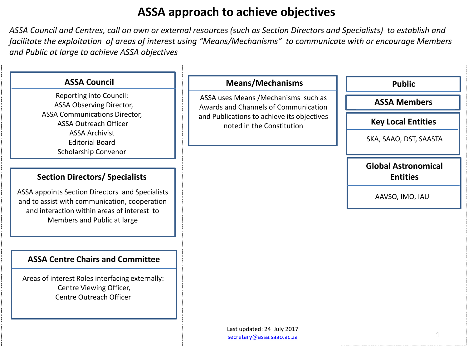# **ASSA approach to achieve objectives**

*ASSA Council and Centres, call on own or external resources (such as Section Directors and Specialists) to establish and facilitate the exploitation of areas of interest using "Means/Mechanisms" to communicate with or encourage Members and Public at large to achieve ASSA objectives*

| <b>ASSA Council</b>                                                                                                                                                            | <b>Means/Mechanisms</b>                                                      | <b>Public</b>                                 |
|--------------------------------------------------------------------------------------------------------------------------------------------------------------------------------|------------------------------------------------------------------------------|-----------------------------------------------|
| Reporting into Council:<br><b>ASSA Observing Director,</b>                                                                                                                     | ASSA uses Means / Mechanisms such as<br>Awards and Channels of Communication | <b>ASSA Members</b>                           |
| <b>ASSA Communications Director,</b><br><b>ASSA Outreach Officer</b>                                                                                                           | and Publications to achieve its objectives<br>noted in the Constitution      | <b>Key Local Entities</b>                     |
| <b>ASSA Archivist</b><br><b>Editorial Board</b><br>Scholarship Convenor                                                                                                        |                                                                              | SKA, SAAO, DST, SAASTA                        |
| <b>Section Directors/ Specialists</b>                                                                                                                                          |                                                                              | <b>Global Astronomical</b><br><b>Entities</b> |
| ASSA appoints Section Directors and Specialists<br>and to assist with communication, cooperation<br>and interaction within areas of interest to<br>Members and Public at large |                                                                              | AAVSO, IMO, IAU                               |
| <b>ASSA Centre Chairs and Committee</b>                                                                                                                                        |                                                                              |                                               |
| Areas of interest Roles interfacing externally:<br>Centre Viewing Officer,<br>Centre Outreach Officer                                                                          |                                                                              |                                               |
|                                                                                                                                                                                | Last updated: 24 July 2017<br>secretary@assa.saao.ac.za                      | 1                                             |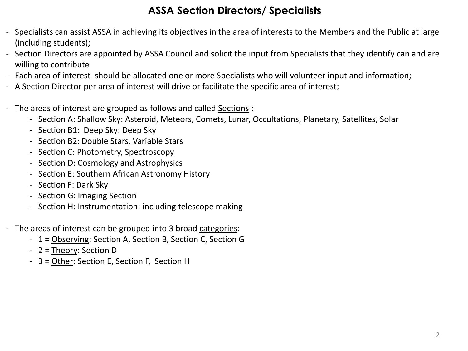## **ASSA Section Directors/ Specialists**

- Specialists can assist ASSA in achieving its objectives in the area of interests to the Members and the Public at large (including students);
- Section Directors are appointed by ASSA Council and solicit the input from Specialists that they identify can and are willing to contribute
- Each area of interest should be allocated one or more Specialists who will volunteer input and information;
- A Section Director per area of interest will drive or facilitate the specific area of interest;
- The areas of interest are grouped as follows and called Sections :
	- Section A: Shallow Sky: Asteroid, Meteors, Comets, Lunar, Occultations, Planetary, Satellites, Solar
	- Section B1: Deep Sky: Deep Sky
	- Section B2: Double Stars, Variable Stars
	- Section C: Photometry, Spectroscopy
	- Section D: Cosmology and Astrophysics
	- Section E: Southern African Astronomy History
	- Section F: Dark Sky
	- Section G: Imaging Section
	- Section H: Instrumentation: including telescope making
- The areas of interest can be grouped into 3 broad categories:
	- 1 = Observing: Section A, Section B, Section C, Section G
	- 2 = Theory: Section D
	- 3 = Other: Section E, Section F, Section H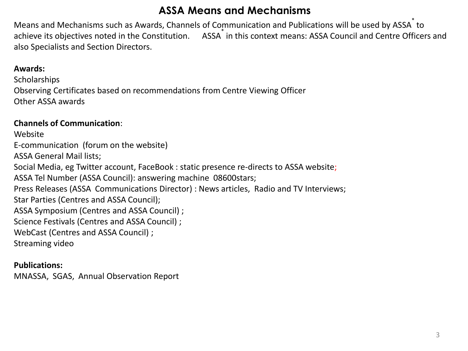## **ASSA Means and Mechanisms**

Means and Mechanisms such as Awards, Channels of Communication and Publications will be used by ASSA<sup>\*</sup> to achieve its objectives noted in the Constitution. ASSA in this context means: ASSA Council and Centre Officers and also Specialists and Section Directors.

### **Awards:**

**Scholarships** Observing Certificates based on recommendations from Centre Viewing Officer Other ASSA awards

#### **Channels of Communication**:

Website E-communication (forum on the website) ASSA General Mail lists; Social Media, eg Twitter account, FaceBook : static presence re-directs to ASSA website; ASSA Tel Number (ASSA Council): answering machine 08600stars; Press Releases (ASSA Communications Director) : News articles, Radio and TV Interviews; Star Parties (Centres and ASSA Council); ASSA Symposium (Centres and ASSA Council) ; Science Festivals (Centres and ASSA Council) ; WebCast (Centres and ASSA Council) ; Streaming video

### **Publications:**

MNASSA, SGAS, Annual Observation Report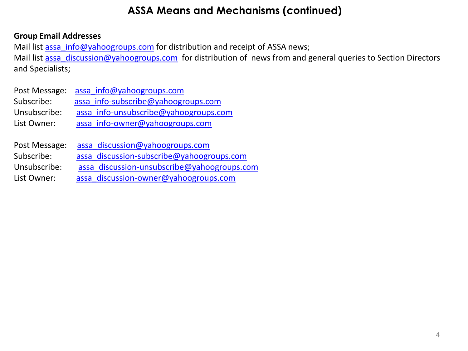## **ASSA Means and Mechanisms (continued)**

### **Group Email Addresses**

Mail list [assa\\_info@yahoogroups.com](mailto:assa_info@yahoogroups.com) for distribution and receipt of ASSA news; Mail list [assa\\_discussion@yahoogroups.com](mailto:assa_discussion@yahoogroups.com) for distribution of news from and general queries to Section Directors and Specialists;

|              | Post Message: assa info@yahoogroups.com |
|--------------|-----------------------------------------|
| Subscribe:   | assa info-subscribe@yahoogroups.com     |
| Unsubscribe: | assa info-unsubscribe@yahoogroups.com   |
| List Owner:  | assa info-owner@yahoogroups.com         |
|              |                                         |

| assa discussion@yahoogroups.com             | Post Message: |  |
|---------------------------------------------|---------------|--|
| assa discussion-subscribe@yahoogroups.com   | Subscribe:    |  |
| assa discussion-unsubscribe@yahoogroups.com | Unsubscribe:  |  |
| assa discussion-owner@yahoogroups.com       | List Owner:   |  |
|                                             |               |  |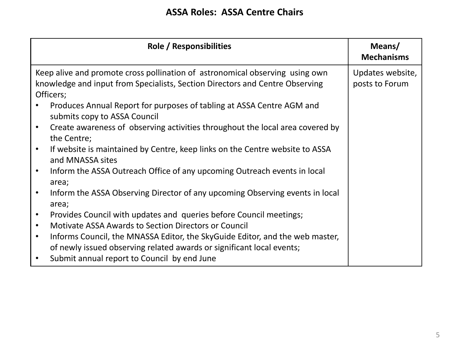### **ASSA Roles: ASSA Centre Chairs**

| Role / Responsibilities                                                                                                                                                   | Means/<br><b>Mechanisms</b>        |
|---------------------------------------------------------------------------------------------------------------------------------------------------------------------------|------------------------------------|
| Keep alive and promote cross pollination of astronomical observing using own<br>knowledge and input from Specialists, Section Directors and Centre Observing<br>Officers; | Updates website,<br>posts to Forum |
| Produces Annual Report for purposes of tabling at ASSA Centre AGM and<br>submits copy to ASSA Council                                                                     |                                    |
| Create awareness of observing activities throughout the local area covered by<br>$\bullet$<br>the Centre;                                                                 |                                    |
| If website is maintained by Centre, keep links on the Centre website to ASSA<br>$\bullet$<br>and MNASSA sites                                                             |                                    |
| Inform the ASSA Outreach Office of any upcoming Outreach events in local<br>$\bullet$<br>area;                                                                            |                                    |
| Inform the ASSA Observing Director of any upcoming Observing events in local<br>$\bullet$<br>area;                                                                        |                                    |
| Provides Council with updates and queries before Council meetings;<br>$\bullet$                                                                                           |                                    |
| Motivate ASSA Awards to Section Directors or Council<br>$\bullet$                                                                                                         |                                    |
| Informs Council, the MNASSA Editor, the SkyGuide Editor, and the web master,<br>$\bullet$<br>of newly issued observing related awards or significant local events;        |                                    |
| Submit annual report to Council by end June<br>$\bullet$                                                                                                                  |                                    |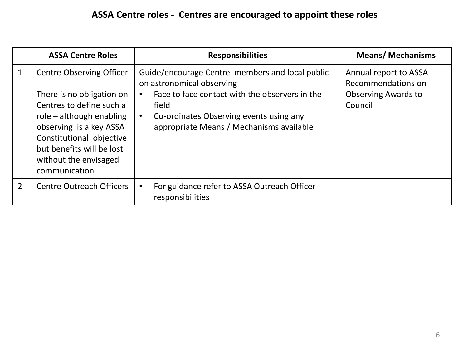# **ASSA Centre roles - Centres are encouraged to appoint these roles**

|                | <b>ASSA Centre Roles</b>                                                                                                                                                                                                                           | <b>Responsibilities</b>                                                                                                                                                                                                        | <b>Means/Mechanisms</b>                                                              |
|----------------|----------------------------------------------------------------------------------------------------------------------------------------------------------------------------------------------------------------------------------------------------|--------------------------------------------------------------------------------------------------------------------------------------------------------------------------------------------------------------------------------|--------------------------------------------------------------------------------------|
| $\mathbf 1$    | <b>Centre Observing Officer</b><br>There is no obligation on<br>Centres to define such a<br>role - although enabling<br>observing is a key ASSA<br>Constitutional objective<br>but benefits will be lost<br>without the envisaged<br>communication | Guide/encourage Centre members and local public<br>on astronomical observing<br>Face to face contact with the observers in the<br>field<br>Co-ordinates Observing events using any<br>appropriate Means / Mechanisms available | Annual report to ASSA<br>Recommendations on<br><b>Observing Awards to</b><br>Council |
| $\overline{2}$ | <b>Centre Outreach Officers</b>                                                                                                                                                                                                                    | For guidance refer to ASSA Outreach Officer<br>responsibilities                                                                                                                                                                |                                                                                      |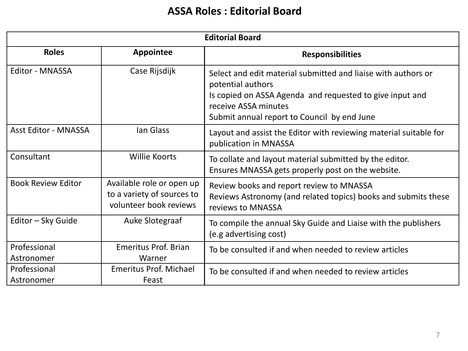# **ASSA Roles : Editorial Board**

| <b>Editorial Board</b>      |                                                                                   |                                                                                                                                                                                                                       |  |
|-----------------------------|-----------------------------------------------------------------------------------|-----------------------------------------------------------------------------------------------------------------------------------------------------------------------------------------------------------------------|--|
| <b>Roles</b>                | <b>Appointee</b>                                                                  | <b>Responsibilities</b>                                                                                                                                                                                               |  |
| <b>Editor - MNASSA</b>      | Case Rijsdijk                                                                     | Select and edit material submitted and liaise with authors or<br>potential authors<br>Is copied on ASSA Agenda and requested to give input and<br>receive ASSA minutes<br>Submit annual report to Council by end June |  |
| <b>Asst Editor - MNASSA</b> | lan Glass                                                                         | Layout and assist the Editor with reviewing material suitable for<br>publication in MNASSA                                                                                                                            |  |
| Consultant                  | Willie Koorts                                                                     | To collate and layout material submitted by the editor.<br>Ensures MNASSA gets properly post on the website.                                                                                                          |  |
| <b>Book Review Editor</b>   | Available role or open up<br>to a variety of sources to<br>volunteer book reviews | Review books and report review to MNASSA<br>Reviews Astronomy (and related topics) books and submits these<br>reviews to MNASSA                                                                                       |  |
| Editor - Sky Guide          | Auke Slotegraaf                                                                   | To compile the annual Sky Guide and Liaise with the publishers<br>(e.g advertising cost)                                                                                                                              |  |
| Professional<br>Astronomer  | <b>Emeritus Prof. Brian</b><br>Warner                                             | To be consulted if and when needed to review articles                                                                                                                                                                 |  |
| Professional<br>Astronomer  | Emeritus Prof. Michael<br>Feast                                                   | To be consulted if and when needed to review articles                                                                                                                                                                 |  |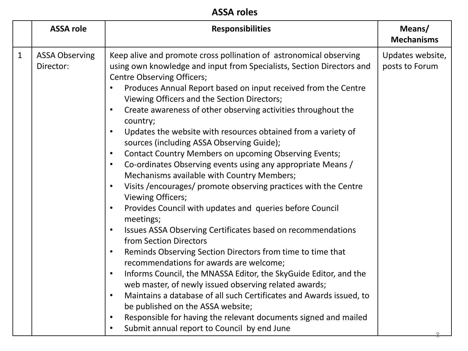|              | <b>ASSA role</b>                   | <b>Responsibilities</b>                                                                                                                                                                                                                                                                                                                                                                                                                                                                                                                                                                                                                                                                                                                                                                                                                                                                                                                                                                                                                                                                                                                                                                                                                                                                                                                                                                                                                                                                            | Means/<br><b>Mechanisms</b>        |
|--------------|------------------------------------|----------------------------------------------------------------------------------------------------------------------------------------------------------------------------------------------------------------------------------------------------------------------------------------------------------------------------------------------------------------------------------------------------------------------------------------------------------------------------------------------------------------------------------------------------------------------------------------------------------------------------------------------------------------------------------------------------------------------------------------------------------------------------------------------------------------------------------------------------------------------------------------------------------------------------------------------------------------------------------------------------------------------------------------------------------------------------------------------------------------------------------------------------------------------------------------------------------------------------------------------------------------------------------------------------------------------------------------------------------------------------------------------------------------------------------------------------------------------------------------------------|------------------------------------|
| $\mathbf{1}$ | <b>ASSA Observing</b><br>Director: | Keep alive and promote cross pollination of astronomical observing<br>using own knowledge and input from Specialists, Section Directors and<br><b>Centre Observing Officers;</b><br>Produces Annual Report based on input received from the Centre<br>Viewing Officers and the Section Directors;<br>Create awareness of other observing activities throughout the<br>country;<br>Updates the website with resources obtained from a variety of<br>sources (including ASSA Observing Guide);<br>Contact Country Members on upcoming Observing Events;<br>Co-ordinates Observing events using any appropriate Means /<br>Mechanisms available with Country Members;<br>Visits /encourages/ promote observing practices with the Centre<br><b>Viewing Officers;</b><br>Provides Council with updates and queries before Council<br>$\bullet$<br>meetings;<br>Issues ASSA Observing Certificates based on recommendations<br>$\bullet$<br>from Section Directors<br>Reminds Observing Section Directors from time to time that<br>$\bullet$<br>recommendations for awards are welcome;<br>Informs Council, the MNASSA Editor, the SkyGuide Editor, and the<br>$\bullet$<br>web master, of newly issued observing related awards;<br>Maintains a database of all such Certificates and Awards issued, to<br>$\bullet$<br>be published on the ASSA website;<br>Responsible for having the relevant documents signed and mailed<br>$\bullet$<br>Submit annual report to Council by end June<br>$\bullet$ | Updates website,<br>posts to Forum |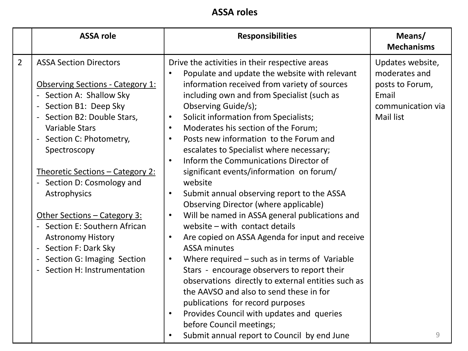|                | <b>ASSA role</b>                                                                                                                                                                                                                                                                                                                                                                                                                                                                                                  | <b>Responsibilities</b>                                                                                                                                                                                                                                                                                                                                                                                                                                                                                                                                                                                                                                                                                                                                                                                                                                                                                                                                                                                                                                                      | Means/<br><b>Mechanisms</b>                                                                            |
|----------------|-------------------------------------------------------------------------------------------------------------------------------------------------------------------------------------------------------------------------------------------------------------------------------------------------------------------------------------------------------------------------------------------------------------------------------------------------------------------------------------------------------------------|------------------------------------------------------------------------------------------------------------------------------------------------------------------------------------------------------------------------------------------------------------------------------------------------------------------------------------------------------------------------------------------------------------------------------------------------------------------------------------------------------------------------------------------------------------------------------------------------------------------------------------------------------------------------------------------------------------------------------------------------------------------------------------------------------------------------------------------------------------------------------------------------------------------------------------------------------------------------------------------------------------------------------------------------------------------------------|--------------------------------------------------------------------------------------------------------|
| $\overline{2}$ | <b>ASSA Section Directors</b><br><b>Observing Sections - Category 1:</b><br>- Section A: Shallow Sky<br>- Section B1: Deep Sky<br>- Section B2: Double Stars,<br><b>Variable Stars</b><br>- Section C: Photometry,<br>Spectroscopy<br><u>Theoretic Sections - Category 2:</u><br>- Section D: Cosmology and<br>Astrophysics<br>Other Sections - Category 3:<br>- Section E: Southern African<br><b>Astronomy History</b><br>- Section F: Dark Sky<br>- Section G: Imaging Section<br>- Section H: Instrumentation | Drive the activities in their respective areas<br>Populate and update the website with relevant<br>information received from variety of sources<br>including own and from Specialist (such as<br>Observing Guide/s);<br>Solicit information from Specialists;<br>Moderates his section of the Forum;<br>Posts new information to the Forum and<br>escalates to Specialist where necessary;<br>Inform the Communications Director of<br>significant events/information on forum/<br>website<br>Submit annual observing report to the ASSA<br>Observing Director (where applicable)<br>Will be named in ASSA general publications and<br>website - with contact details<br>Are copied on ASSA Agenda for input and receive<br><b>ASSA minutes</b><br>Where required $-$ such as in terms of Variable<br>Stars - encourage observers to report their<br>observations directly to external entities such as<br>the AAVSO and also to send these in for<br>publications for record purposes<br>Provides Council with updates and queries<br>$\bullet$<br>before Council meetings; | Updates website,<br>moderates and<br>posts to Forum,<br>Email<br>communication via<br><b>Mail list</b> |
|                |                                                                                                                                                                                                                                                                                                                                                                                                                                                                                                                   | Submit annual report to Council by end June                                                                                                                                                                                                                                                                                                                                                                                                                                                                                                                                                                                                                                                                                                                                                                                                                                                                                                                                                                                                                                  | 9                                                                                                      |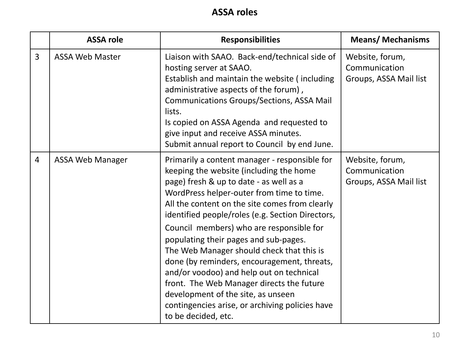|                | <b>ASSA role</b>        | <b>Responsibilities</b>                                                                                                                                                                                                                                                                                                                                                                                                                                                                                                                                                                                                                                                          | <b>Means/ Mechanisms</b>                                   |
|----------------|-------------------------|----------------------------------------------------------------------------------------------------------------------------------------------------------------------------------------------------------------------------------------------------------------------------------------------------------------------------------------------------------------------------------------------------------------------------------------------------------------------------------------------------------------------------------------------------------------------------------------------------------------------------------------------------------------------------------|------------------------------------------------------------|
| 3              | <b>ASSA Web Master</b>  | Liaison with SAAO. Back-end/technical side of<br>hosting server at SAAO.<br>Establish and maintain the website (including<br>administrative aspects of the forum),<br><b>Communications Groups/Sections, ASSA Mail</b><br>lists.<br>Is copied on ASSA Agenda and requested to<br>give input and receive ASSA minutes.<br>Submit annual report to Council by end June.                                                                                                                                                                                                                                                                                                            | Website, forum,<br>Communication<br>Groups, ASSA Mail list |
| $\overline{4}$ | <b>ASSA Web Manager</b> | Primarily a content manager - responsible for<br>keeping the website (including the home<br>page) fresh & up to date - as well as a<br>WordPress helper-outer from time to time.<br>All the content on the site comes from clearly<br>identified people/roles (e.g. Section Directors,<br>Council members) who are responsible for<br>populating their pages and sub-pages.<br>The Web Manager should check that this is<br>done (by reminders, encouragement, threats,<br>and/or voodoo) and help out on technical<br>front. The Web Manager directs the future<br>development of the site, as unseen<br>contingencies arise, or archiving policies have<br>to be decided, etc. | Website, forum,<br>Communication<br>Groups, ASSA Mail list |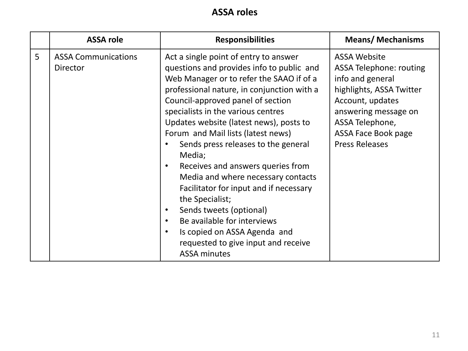|   | <b>ASSA role</b>                              | <b>Responsibilities</b>                                                                                                                                                                                                                                                                                                                                                                                                                                                                                                                                                                                                                                                                                | <b>Means/Mechanisms</b>                                                                                                                                                                                                     |
|---|-----------------------------------------------|--------------------------------------------------------------------------------------------------------------------------------------------------------------------------------------------------------------------------------------------------------------------------------------------------------------------------------------------------------------------------------------------------------------------------------------------------------------------------------------------------------------------------------------------------------------------------------------------------------------------------------------------------------------------------------------------------------|-----------------------------------------------------------------------------------------------------------------------------------------------------------------------------------------------------------------------------|
| 5 | <b>ASSA Communications</b><br><b>Director</b> | Act a single point of entry to answer<br>questions and provides info to public and<br>Web Manager or to refer the SAAO if of a<br>professional nature, in conjunction with a<br>Council-approved panel of section<br>specialists in the various centres<br>Updates website (latest news), posts to<br>Forum and Mail lists (latest news)<br>Sends press releases to the general<br>Media;<br>Receives and answers queries from<br>$\bullet$<br>Media and where necessary contacts<br>Facilitator for input and if necessary<br>the Specialist;<br>Sends tweets (optional)<br>Be available for interviews<br>Is copied on ASSA Agenda and<br>requested to give input and receive<br><b>ASSA minutes</b> | <b>ASSA Website</b><br><b>ASSA Telephone: routing</b><br>info and general<br>highlights, ASSA Twitter<br>Account, updates<br>answering message on<br>ASSA Telephone,<br><b>ASSA Face Book page</b><br><b>Press Releases</b> |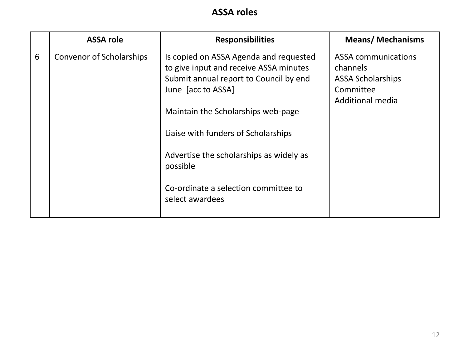|   | <b>ASSA role</b>                | <b>Responsibilities</b>                                                                                                                                                                                                                                                                                                                         | <b>Means/Mechanisms</b>                                                                             |
|---|---------------------------------|-------------------------------------------------------------------------------------------------------------------------------------------------------------------------------------------------------------------------------------------------------------------------------------------------------------------------------------------------|-----------------------------------------------------------------------------------------------------|
| 6 | <b>Convenor of Scholarships</b> | Is copied on ASSA Agenda and requested<br>to give input and receive ASSA minutes<br>Submit annual report to Council by end<br>June [acc to ASSA]<br>Maintain the Scholarships web-page<br>Liaise with funders of Scholarships<br>Advertise the scholarships as widely as<br>possible<br>Co-ordinate a selection committee to<br>select awardees | <b>ASSA communications</b><br>channels<br><b>ASSA Scholarships</b><br>Committee<br>Additional media |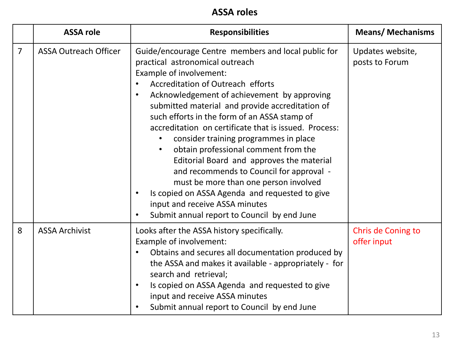**ASSA roles** 

|   | <b>ASSA role</b>             | <b>Responsibilities</b>                                                                                                                                                                                                                                                                                                                                                                                                                                                                                                                                                                                                                                                                                                                                        | <b>Means/Mechanisms</b>            |
|---|------------------------------|----------------------------------------------------------------------------------------------------------------------------------------------------------------------------------------------------------------------------------------------------------------------------------------------------------------------------------------------------------------------------------------------------------------------------------------------------------------------------------------------------------------------------------------------------------------------------------------------------------------------------------------------------------------------------------------------------------------------------------------------------------------|------------------------------------|
| 7 | <b>ASSA Outreach Officer</b> | Guide/encourage Centre members and local public for<br>practical astronomical outreach<br>Example of involvement:<br>Accreditation of Outreach efforts<br>Acknowledgement of achievement by approving<br>$\bullet$<br>submitted material and provide accreditation of<br>such efforts in the form of an ASSA stamp of<br>accreditation on certificate that is issued. Process:<br>consider training programmes in place<br>obtain professional comment from the<br>$\bullet$<br>Editorial Board and approves the material<br>and recommends to Council for approval -<br>must be more than one person involved<br>Is copied on ASSA Agenda and requested to give<br>$\bullet$<br>input and receive ASSA minutes<br>Submit annual report to Council by end June | Updates website,<br>posts to Forum |
| 8 | <b>ASSA Archivist</b>        | Looks after the ASSA history specifically.<br>Example of involvement:<br>Obtains and secures all documentation produced by<br>$\bullet$<br>the ASSA and makes it available - appropriately - for<br>search and retrieval;<br>Is copied on ASSA Agenda and requested to give<br>$\bullet$<br>input and receive ASSA minutes<br>Submit annual report to Council by end June                                                                                                                                                                                                                                                                                                                                                                                      | Chris de Coning to<br>offer input  |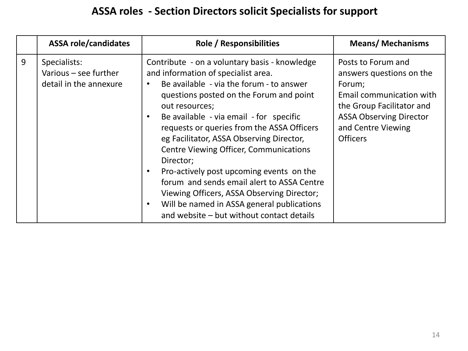|   | <b>ASSA role/candidates</b>                                     | <b>Role / Responsibilities</b>                                                                                                                                                                                                                                                                                                                                                                                                                                                                                                                                                                                                      | <b>Means/Mechanisms</b>                                                                                                                                                                      |
|---|-----------------------------------------------------------------|-------------------------------------------------------------------------------------------------------------------------------------------------------------------------------------------------------------------------------------------------------------------------------------------------------------------------------------------------------------------------------------------------------------------------------------------------------------------------------------------------------------------------------------------------------------------------------------------------------------------------------------|----------------------------------------------------------------------------------------------------------------------------------------------------------------------------------------------|
| 9 | Specialists:<br>Various - see further<br>detail in the annexure | Contribute - on a voluntary basis - knowledge<br>and information of specialist area.<br>Be available - via the forum - to answer<br>questions posted on the Forum and point<br>out resources;<br>Be available - via email - for specific<br>requests or queries from the ASSA Officers<br>eg Facilitator, ASSA Observing Director,<br><b>Centre Viewing Officer, Communications</b><br>Director;<br>Pro-actively post upcoming events on the<br>forum and sends email alert to ASSA Centre<br>Viewing Officers, ASSA Observing Director;<br>Will be named in ASSA general publications<br>and website – but without contact details | Posts to Forum and<br>answers questions on the<br>Forum;<br>Email communication with<br>the Group Facilitator and<br><b>ASSA Observing Director</b><br>and Centre Viewing<br><b>Officers</b> |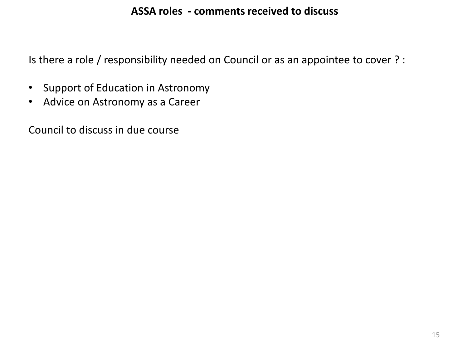## **ASSA roles - comments received to discuss**

Is there a role / responsibility needed on Council or as an appointee to cover ? :

- Support of Education in Astronomy
- Advice on Astronomy as a Career

Council to discuss in due course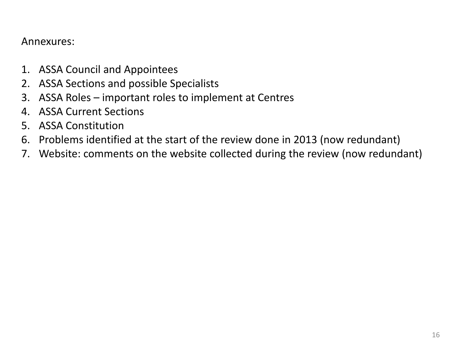## Annexures:

- 1. ASSA Council and Appointees
- 2. ASSA Sections and possible Specialists
- 3. ASSA Roles important roles to implement at Centres
- 4. ASSA Current Sections
- 5. ASSA Constitution
- 6. Problems identified at the start of the review done in 2013 (now redundant)
- 7. Website: comments on the website collected during the review (now redundant)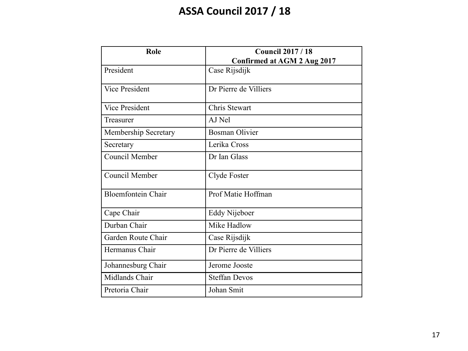# **ASSA Council 2017 / 18**

| Role                      | <b>Council 2017 / 18</b>    |
|---------------------------|-----------------------------|
|                           | Confirmed at AGM 2 Aug 2017 |
| President                 | Case Rijsdijk               |
| <b>Vice President</b>     | Dr Pierre de Villiers       |
| <b>Vice President</b>     | Chris Stewart               |
| Treasurer                 | AJ Nel                      |
| Membership Secretary      | <b>Bosman Olivier</b>       |
| Secretary                 | Lerika Cross                |
| <b>Council Member</b>     | Dr Ian Glass                |
| Council Member            | Clyde Foster                |
| <b>Bloemfontein Chair</b> | Prof Matie Hoffman          |
| Cape Chair                | Eddy Nijeboer               |
| Durban Chair              | Mike Hadlow                 |
| Garden Route Chair        | Case Rijsdijk               |
| Hermanus Chair            | Dr Pierre de Villiers       |
| Johannesburg Chair        | Jerome Jooste               |
| Midlands Chair            | <b>Steffan Devos</b>        |
| Pretoria Chair            | Johan Smit                  |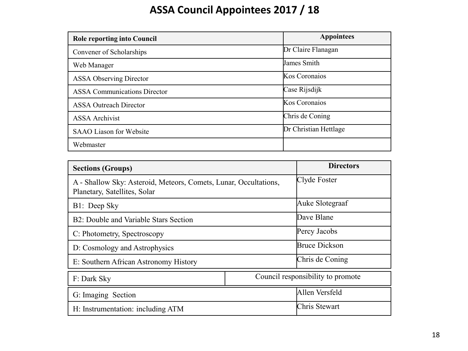# **ASSA Council Appointees 2017 / 18**

| <b>Role reporting into Council</b>  | <b>Appointees</b>     |
|-------------------------------------|-----------------------|
| Convener of Scholarships            | Dr Claire Flanagan    |
| Web Manager                         | James Smith           |
| <b>ASSA Observing Director</b>      | Kos Coronaios         |
| <b>ASSA Communications Director</b> | Case Rijsdijk         |
| <b>ASSA Outreach Director</b>       | Kos Coronaios         |
| <b>ASSA</b> Archivist               | Chris de Coning       |
| SAAO Liason for Website             | Dr Christian Hettlage |
| Webmaster                           |                       |

| <b>Sections (Groups)</b>                                                                         | <b>Directors</b>                  |
|--------------------------------------------------------------------------------------------------|-----------------------------------|
| A - Shallow Sky: Asteroid, Meteors, Comets, Lunar, Occultations,<br>Planetary, Satellites, Solar | Clyde Foster                      |
| B1: Deep Sky                                                                                     | Auke Slotegraaf                   |
| B2: Double and Variable Stars Section                                                            | Dave Blane                        |
| C: Photometry, Spectroscopy                                                                      | Percy Jacobs                      |
| D: Cosmology and Astrophysics                                                                    | <b>Bruce Dickson</b>              |
| E: Southern African Astronomy History                                                            | Chris de Coning                   |
| F: Dark Sky                                                                                      | Council responsibility to promote |
| G: Imaging Section                                                                               | Allen Versfeld                    |
| H: Instrumentation: including ATM                                                                | Chris Stewart                     |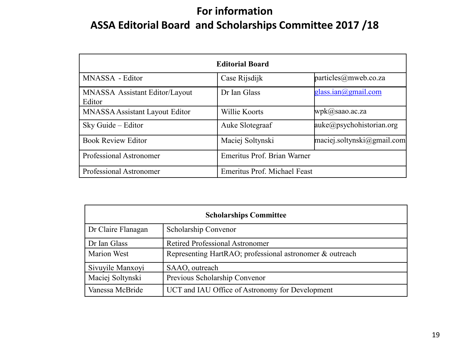# **For information ASSA Editorial Board and Scholarships Committee 2017 /18**

| <b>Editorial Board</b>                          |                              |                                                        |  |  |
|-------------------------------------------------|------------------------------|--------------------------------------------------------|--|--|
| MNASSA - Editor                                 | Case Rijsdijk                | particles@mweb.co.za                                   |  |  |
| <b>MNASSA</b> Assistant Editor/Layout<br>Editor | Dr Ian Glass                 | glass.ian@gmail.com                                    |  |  |
| MNASSA Assistant Layout Editor                  | Willie Koorts                | $wpk(a)$ saao.ac.za                                    |  |  |
| Sky Guide - Editor                              | Auke Slotegraaf              | auke@psychohistorian.org                               |  |  |
| <b>Book Review Editor</b>                       | Maciej Soltynski             | $\text{maciej}$ .soltynski $\textcircled{a}$ gmail.com |  |  |
| Professional Astronomer                         | Emeritus Prof. Brian Warner  |                                                        |  |  |
| Professional Astronomer                         | Emeritus Prof. Michael Feast |                                                        |  |  |

| <b>Scholarships Committee</b> |                                                          |  |  |  |
|-------------------------------|----------------------------------------------------------|--|--|--|
| Dr Claire Flanagan            | Scholarship Convenor                                     |  |  |  |
| Dr Ian Glass                  | <b>Retired Professional Astronomer</b>                   |  |  |  |
| <b>Marion West</b>            | Representing HartRAO; professional astronomer & outreach |  |  |  |
| Sivuyile Manxoyi              | SAAO, outreach                                           |  |  |  |
| Maciej Soltynski              | Previous Scholarship Convenor                            |  |  |  |
| Vanessa McBride               | UCT and IAU Office of Astronomy for Development          |  |  |  |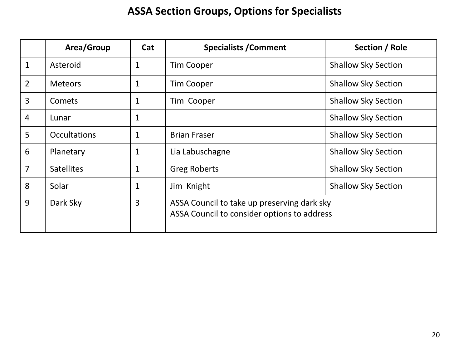# **ASSA Section Groups, Options for Specialists**

|                | Area/Group          | Cat          | <b>Specialists / Comment</b>                                                               | Section / Role             |
|----------------|---------------------|--------------|--------------------------------------------------------------------------------------------|----------------------------|
| $\mathbf{1}$   | Asteroid            | $\mathbf 1$  | <b>Tim Cooper</b>                                                                          | <b>Shallow Sky Section</b> |
| $\overline{2}$ | <b>Meteors</b>      | 1            | <b>Tim Cooper</b>                                                                          | <b>Shallow Sky Section</b> |
| $\overline{3}$ | Comets              | 1            | Tim Cooper                                                                                 | <b>Shallow Sky Section</b> |
| $\overline{4}$ | Lunar               | 1            |                                                                                            | <b>Shallow Sky Section</b> |
| 5              | <b>Occultations</b> | 1            | <b>Brian Fraser</b>                                                                        | <b>Shallow Sky Section</b> |
| 6              | Planetary           | $\mathbf{1}$ | Lia Labuschagne                                                                            | <b>Shallow Sky Section</b> |
| $\overline{7}$ | <b>Satellites</b>   | 1            | <b>Greg Roberts</b>                                                                        | <b>Shallow Sky Section</b> |
| 8              | Solar               | 1            | Jim Knight                                                                                 | <b>Shallow Sky Section</b> |
| 9              | Dark Sky            | 3            | ASSA Council to take up preserving dark sky<br>ASSA Council to consider options to address |                            |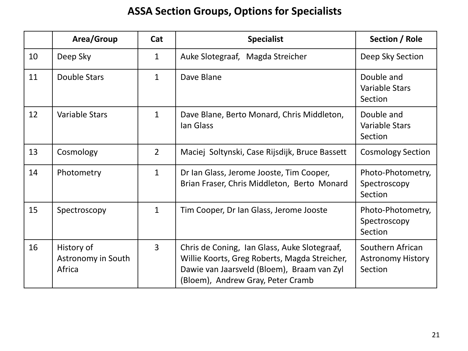# **ASSA Section Groups, Options for Specialists**

|    | Area/Group                                 | Cat            | <b>Specialist</b>                                                                                                                                                                | Section / Role                                          |
|----|--------------------------------------------|----------------|----------------------------------------------------------------------------------------------------------------------------------------------------------------------------------|---------------------------------------------------------|
| 10 | Deep Sky                                   | $\mathbf{1}$   | Auke Slotegraaf, Magda Streicher                                                                                                                                                 | Deep Sky Section                                        |
| 11 | Double Stars                               | $\mathbf{1}$   | Dave Blane                                                                                                                                                                       | Double and<br><b>Variable Stars</b><br>Section          |
| 12 | Variable Stars                             | $\mathbf{1}$   | Dave Blane, Berto Monard, Chris Middleton,<br>lan Glass                                                                                                                          | Double and<br><b>Variable Stars</b><br>Section          |
| 13 | Cosmology                                  | $\overline{2}$ | Maciej Soltynski, Case Rijsdijk, Bruce Bassett                                                                                                                                   | <b>Cosmology Section</b>                                |
| 14 | Photometry                                 | $\mathbf{1}$   | Dr Ian Glass, Jerome Jooste, Tim Cooper,<br>Brian Fraser, Chris Middleton, Berto Monard                                                                                          | Photo-Photometry,<br>Spectroscopy<br>Section            |
| 15 | Spectroscopy                               | $\mathbf{1}$   | Tim Cooper, Dr Ian Glass, Jerome Jooste                                                                                                                                          | Photo-Photometry,<br>Spectroscopy<br>Section            |
| 16 | History of<br>Astronomy in South<br>Africa | $\overline{3}$ | Chris de Coning, Ian Glass, Auke Slotegraaf,<br>Willie Koorts, Greg Roberts, Magda Streicher,<br>Dawie van Jaarsveld (Bloem), Braam van Zyl<br>(Bloem), Andrew Gray, Peter Cramb | Southern African<br><b>Astronomy History</b><br>Section |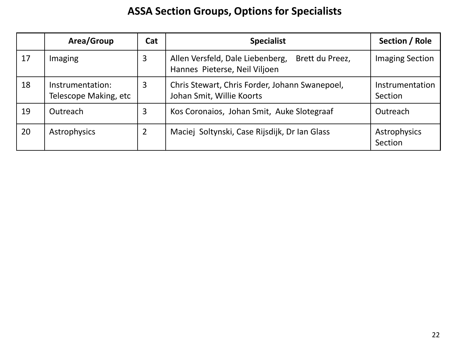# **ASSA Section Groups, Options for Specialists**

|    | Area/Group                                | Cat | <b>Specialist</b>                                                                    | Section / Role             |
|----|-------------------------------------------|-----|--------------------------------------------------------------------------------------|----------------------------|
| 17 | Imaging                                   | 3   | Allen Versfeld, Dale Liebenberg,<br>Brett du Preez,<br>Hannes Pieterse, Neil Viljoen | <b>Imaging Section</b>     |
| 18 | Instrumentation:<br>Telescope Making, etc | 3   | Chris Stewart, Chris Forder, Johann Swanepoel,<br>Johan Smit, Willie Koorts          | Instrumentation<br>Section |
| 19 | Outreach                                  | 3   | Kos Coronaios, Johan Smit, Auke Slotegraaf                                           | Outreach                   |
| 20 | Astrophysics                              | 2   | Maciej Soltynski, Case Rijsdijk, Dr Ian Glass                                        | Astrophysics<br>Section    |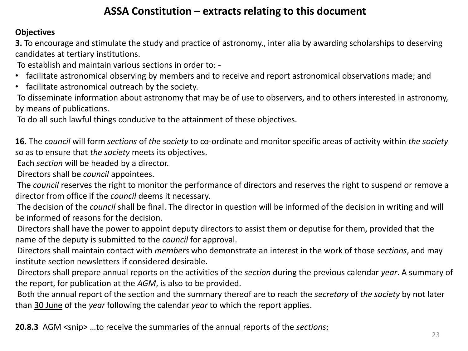## **ASSA Constitution – extracts relating to this document**

### **Objectives**

**3.** To encourage and stimulate the study and practice of astronomy., inter alia by awarding scholarships to deserving candidates at tertiary institutions.

To establish and maintain various sections in order to: -

- facilitate astronomical observing by members and to receive and report astronomical observations made; and
- facilitate astronomical outreach by the society.

To disseminate information about astronomy that may be of use to observers, and to others interested in astronomy, by means of publications.

To do all such lawful things conducive to the attainment of these objectives.

**16**. The *council* will form *sections* of *the society* to co-ordinate and monitor specific areas of activity within *the society* so as to ensure that *the society* meets its objectives.

Each *section* will be headed by a director.

Directors shall be *council* appointees.

The *council* reserves the right to monitor the performance of directors and reserves the right to suspend or remove a director from office if the *council* deems it necessary.

The decision of the *council* shall be final. The director in question will be informed of the decision in writing and will be informed of reasons for the decision.

Directors shall have the power to appoint deputy directors to assist them or deputise for them, provided that the name of the deputy is submitted to the *council* for approval.

Directors shall maintain contact with *members* who demonstrate an interest in the work of those *sections*, and may institute section newsletters if considered desirable.

Directors shall prepare annual reports on the activities of the *section* during the previous calendar *year*. A summary of the report, for publication at the *AGM*, is also to be provided.

Both the annual report of the section and the summary thereof are to reach the *secretary* of *the society* by not later than 30 June of the *year* following the calendar *year* to which the report applies.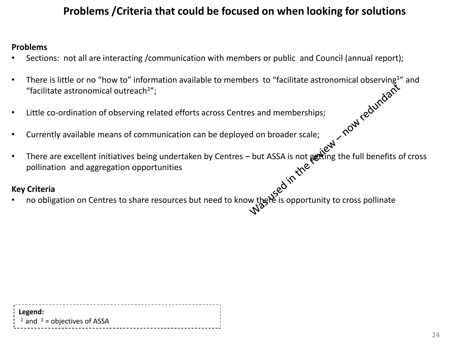# **Problems /Criteria that could be focused on when looking for solutions**

#### **Problems**

- Sections: not all are interacting /communication with members or public and Council (annual report);
- There is little or no "how to" information available to members to "facilitate astronomical observing<sup>1</sup>" and<br>
"facilitate astronomical outreach<sup>2</sup>",<br>
 Little co-ordination of observing related efforts across Centres an "facilitate astronomical outreach $2$ ";
- Little co-ordination of observing related efforts across Centres and memberships;
- Currently available means of communication can be deployed on broader scale;
- There are excellent initiatives being undertaken by Centres but ASSA is not getting the full benefits of cross pollination and aggregation opportunities **v Criteria**<br>
no obligation on Centres to share resources but need to know there is opportunity to cross pollinate<br>  $\sqrt{x^2}$

### **Key Criteria**

| Legend:                                             |  |
|-----------------------------------------------------|--|
|                                                     |  |
| $\frac{1}{2}$ and <sup>2</sup> = objectives of ASSA |  |
|                                                     |  |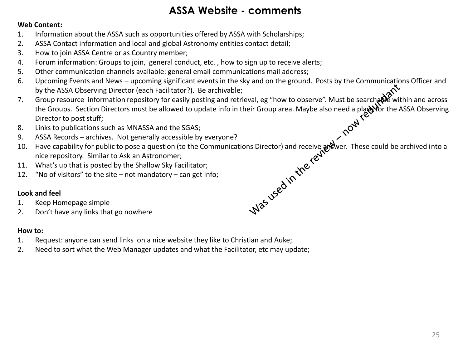## **ASSA Website - comments**

#### **Web Content:**

- 1. Information about the ASSA such as opportunities offered by ASSA with Scholarships;
- 2. ASSA Contact information and local and global Astronomy entities contact detail;
- 3. How to join ASSA Centre or as Country member;
- 4. Forum information: Groups to join, general conduct, etc. , how to sign up to receive alerts;
- 5. Other communication channels available: general email communications mail address;
- 6. Upcoming Events and News upcoming significant events in the sky and on the ground. Posts by the Communications Officer and by the ASSA Observing Director (each Facilitator?). Be archivable;
- 7. Group resource information repository for easily posting and retrieval, eg "how to observe". Must be searchane within and across the Groups. Section Directors must be allowed to update info in their Group area. Maybe also need a place for the ASSA Observing Director to post stuff;
- 8. Links to publications such as MNASSA and the SGAS;
- 9. ASSA Records archives. Not generally accessible by everyone?
- 10. Have capability for public to pose a question (to the Communications Director) and receive answer. These could be archived into a nice repository. Similar to Ask an Astronomer;
- 11. What's up that is posted by the Shallow Sky Facilitator;
- 12. "No of visitors" to the site not mandatory can get info;

#### **Look and feel**

- 1. Keep Homepage simple
- 2. Don't have any links that go nowhere

#### **How to:**

- 1. Request: anyone can send links on a nice website they like to Christian and Auke;
- 2. Need to sort what the Web Manager updates and what the Facilitator, etc may update;